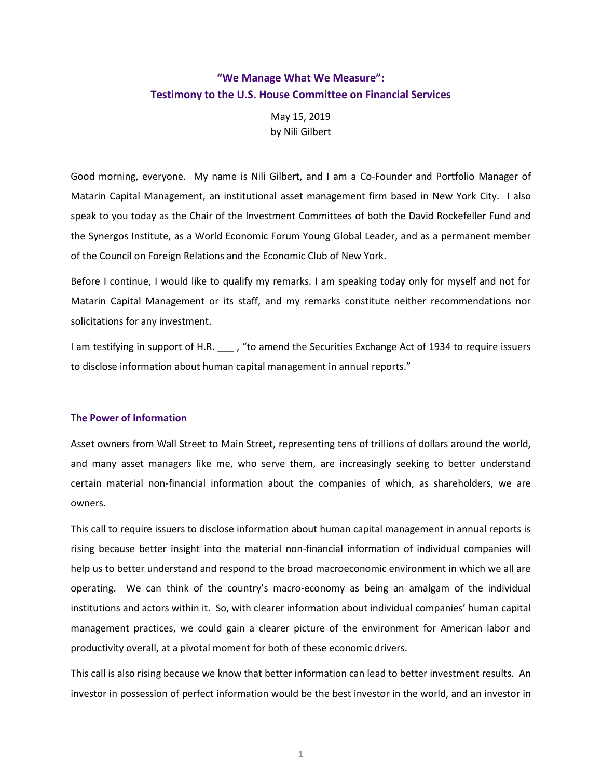# **"We Manage What We Measure": Testimony to the U.S. House Committee on Financial Services**

May 15, 2019 by Nili Gilbert

Good morning, everyone. My name is Nili Gilbert, and I am a Co-Founder and Portfolio Manager of Matarin Capital Management, an institutional asset management firm based in New York City. I also speak to you today as the Chair of the Investment Committees of both the David Rockefeller Fund and the Synergos Institute, as a World Economic Forum Young Global Leader, and as a permanent member of the Council on Foreign Relations and the Economic Club of New York.

Before I continue, I would like to qualify my remarks. I am speaking today only for myself and not for Matarin Capital Management or its staff, and my remarks constitute neither recommendations nor solicitations for any investment.

I am testifying in support of H.R. \_\_\_ , "to amend the Securities Exchange Act of 1934 to require issuers to disclose information about human capital management in annual reports."

## **The Power of Information**

Asset owners from Wall Street to Main Street, representing tens of trillions of dollars around the world, and many asset managers like me, who serve them, are increasingly seeking to better understand certain material non-financial information about the companies of which, as shareholders, we are owners.

This call to require issuers to disclose information about human capital management in annual reports is rising because better insight into the material non-financial information of individual companies will help us to better understand and respond to the broad macroeconomic environment in which we all are operating. We can think of the country's macro-economy as being an amalgam of the individual institutions and actors within it. So, with clearer information about individual companies' human capital management practices, we could gain a clearer picture of the environment for American labor and productivity overall, at a pivotal moment for both of these economic drivers.

This call is also rising because we know that better information can lead to better investment results. An investor in possession of perfect information would be the best investor in the world, and an investor in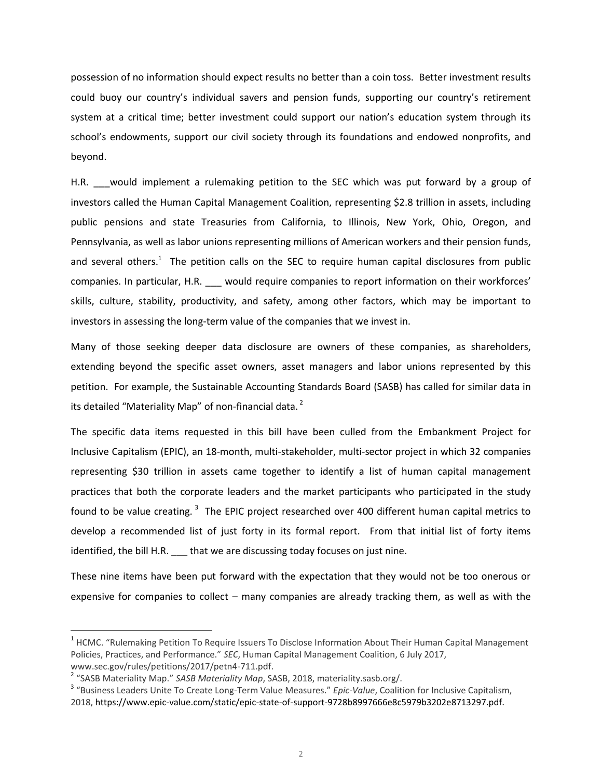possession of no information should expect results no better than a coin toss. Better investment results could buoy our country's individual savers and pension funds, supporting our country's retirement system at a critical time; better investment could support our nation's education system through its school's endowments, support our civil society through its foundations and endowed nonprofits, and beyond.

H.R. \_\_\_ would implement a rulemaking petition to the SEC which was put forward by a group of investors called the Human Capital Management Coalition, representing \$2.8 trillion in assets, including public pensions and state Treasuries from California, to Illinois, New York, Ohio, Oregon, and Pennsylvania, as well as labor unions representing millions of American workers and their pension funds, and several others.<sup>1</sup> The petition calls on the SEC to require human capital disclosures from public companies. In particular, H.R. \_\_\_ would require companies to report information on their workforces' skills, culture, stability, productivity, and safety, among other factors, which may be important to investors in assessing the long-term value of the companies that we invest in.

Many of those seeking deeper data disclosure are owners of these companies, as shareholders, extending beyond the specific asset owners, asset managers and labor unions represented by this petition. For example, the Sustainable Accounting Standards Board (SASB) has called for similar data in its detailed "Materiality Map" of non-financial data.<sup>2</sup>

The specific data items requested in this bill have been culled from the Embankment Project for Inclusive Capitalism (EPIC), an 18-month, multi-stakeholder, multi-sector project in which 32 companies representing \$30 trillion in assets came together to identify a list of human capital management practices that both the corporate leaders and the market participants who participated in the study found to be value creating. <sup>3</sup> The EPIC project researched over 400 different human capital metrics to develop a recommended list of just forty in its formal report. From that initial list of forty items identified, the bill H.R. \_\_\_ that we are discussing today focuses on just nine.

These nine items have been put forward with the expectation that they would not be too onerous or expensive for companies to collect – many companies are already tracking them, as well as with the

 $\overline{a}$ 

<sup>&</sup>lt;sup>1</sup> HCMC. "Rulemaking Petition To Require Issuers To Disclose Information About Their Human Capital Management Policies, Practices, and Performance." *SEC*, Human Capital Management Coalition, 6 July 2017, www.sec.gov/rules/petitions/2017/petn4-711.pdf.

<sup>&</sup>lt;sup>2</sup> "SASB Materiality Map." SASB Materiality Map, SASB, 2018, materiality.sasb.org/.

<sup>3</sup> "Business Leaders Unite To Create Long-Term Value Measures." *Epic-Value*, Coalition for Inclusive Capitalism, 2018, https://www.epic-value.com/static/epic-state-of-support-9728b8997666e8c5979b3202e8713297.pdf.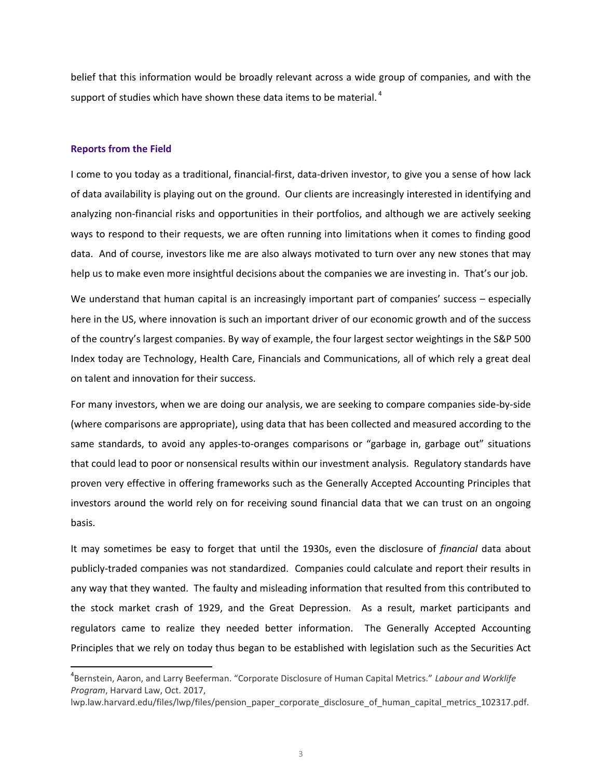belief that this information would be broadly relevant across a wide group of companies, and with the support of studies which have shown these data items to be material.  $^4$ 

#### **Reports from the Field**

 $\overline{\phantom{a}}$ 

I come to you today as a traditional, financial-first, data-driven investor, to give you a sense of how lack of data availability is playing out on the ground. Our clients are increasingly interested in identifying and analyzing non-financial risks and opportunities in their portfolios, and although we are actively seeking ways to respond to their requests, we are often running into limitations when it comes to finding good data. And of course, investors like me are also always motivated to turn over any new stones that may help us to make even more insightful decisions about the companies we are investing in. That's our job.

We understand that human capital is an increasingly important part of companies' success – especially here in the US, where innovation is such an important driver of our economic growth and of the success of the country's largest companies. By way of example, the four largest sector weightings in the S&P 500 Index today are Technology, Health Care, Financials and Communications, all of which rely a great deal on talent and innovation for their success.

For many investors, when we are doing our analysis, we are seeking to compare companies side-by-side (where comparisons are appropriate), using data that has been collected and measured according to the same standards, to avoid any apples-to-oranges comparisons or "garbage in, garbage out" situations that could lead to poor or nonsensical results within our investment analysis. Regulatory standards have proven very effective in offering frameworks such as the Generally Accepted Accounting Principles that investors around the world rely on for receiving sound financial data that we can trust on an ongoing basis.

It may sometimes be easy to forget that until the 1930s, even the disclosure of *financial* data about publicly-traded companies was not standardized. Companies could calculate and report their results in any way that they wanted. The faulty and misleading information that resulted from this contributed to the stock market crash of 1929, and the Great Depression. As a result, market participants and regulators came to realize they needed better information. The Generally Accepted Accounting Principles that we rely on today thus began to be established with legislation such as the Securities Act

<sup>4</sup> Bernstein, Aaron, and Larry Beeferman. "Corporate Disclosure of Human Capital Metrics." *Labour and Worklife Program*, Harvard Law, Oct. 2017,

lwp.law.harvard.edu/files/lwp/files/pension\_paper\_corporate\_disclosure\_of\_human\_capital\_metrics\_102317.pdf.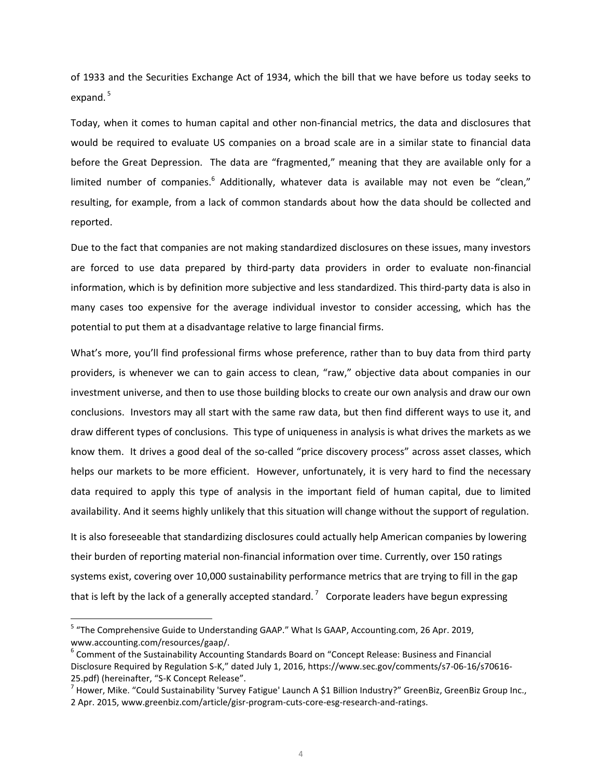of 1933 and the Securities Exchange Act of 1934, which the bill that we have before us today seeks to expand.<sup>5</sup>

Today, when it comes to human capital and other non-financial metrics, the data and disclosures that would be required to evaluate US companies on a broad scale are in a similar state to financial data before the Great Depression. The data are "fragmented," meaning that they are available only for a limited number of companies.<sup>6</sup> Additionally, whatever data is available may not even be "clean," resulting, for example, from a lack of common standards about how the data should be collected and reported.

Due to the fact that companies are not making standardized disclosures on these issues, many investors are forced to use data prepared by third-party data providers in order to evaluate non-financial information, which is by definition more subjective and less standardized. This third-party data is also in many cases too expensive for the average individual investor to consider accessing, which has the potential to put them at a disadvantage relative to large financial firms.

What's more, you'll find professional firms whose preference, rather than to buy data from third party providers, is whenever we can to gain access to clean, "raw," objective data about companies in our investment universe, and then to use those building blocks to create our own analysis and draw our own conclusions. Investors may all start with the same raw data, but then find different ways to use it, and draw different types of conclusions. This type of uniqueness in analysis is what drives the markets as we know them. It drives a good deal of the so-called "price discovery process" across asset classes, which helps our markets to be more efficient. However, unfortunately, it is very hard to find the necessary data required to apply this type of analysis in the important field of human capital, due to limited availability. And it seems highly unlikely that this situation will change without the support of regulation.

It is also foreseeable that standardizing disclosures could actually help American companies by lowering their burden of reporting material non-financial information over time. Currently, over 150 ratings systems exist, covering over 10,000 sustainability performance metrics that are trying to fill in the gap that is left by the lack of a generally accepted standard.<sup>7</sup> Corporate leaders have begun expressing

 $\overline{\phantom{a}}$ 

<sup>&</sup>lt;sup>5</sup> "The Comprehensive Guide to Understanding GAAP." What Is GAAP, Accounting.com, 26 Apr. 2019, www.accounting.com/resources/gaap/.

<sup>&</sup>lt;sup>6</sup> Comment of the Sustainability Accounting Standards Board on "Concept Release: Business and Financial Disclosure Required by Regulation S-K," dated July 1, 2016, https://www.sec.gov/comments/s7-06-16/s70616- 25.pdf) (hereinafter, "S-K Concept Release".

<sup>&</sup>lt;sup>7</sup> Hower, Mike. "Could Sustainability 'Survey Fatigue' Launch A \$1 Billion Industry?" GreenBiz, GreenBiz Group Inc., 2 Apr. 2015, www.greenbiz.com/article/gisr-program-cuts-core-esg-research-and-ratings.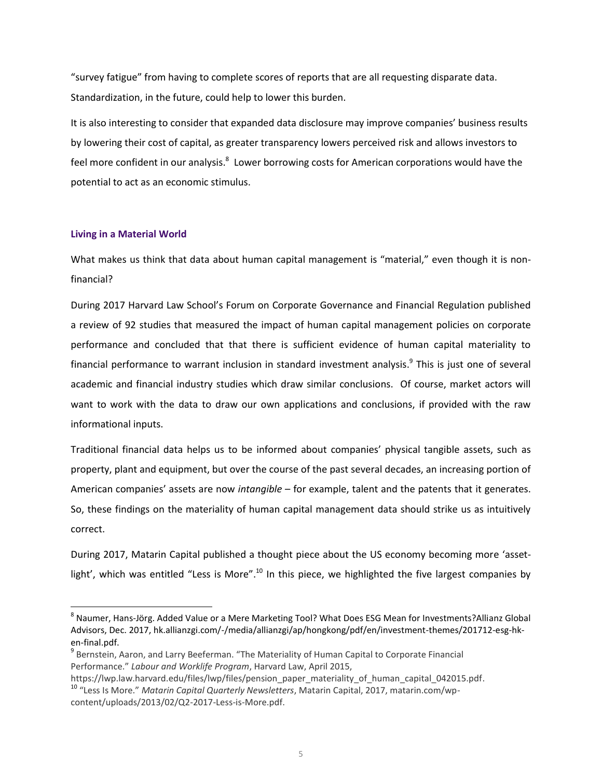"survey fatigue" from having to complete scores of reports that are all requesting disparate data. Standardization, in the future, could help to lower this burden.

It is also interesting to consider that expanded data disclosure may improve companies' business results by lowering their cost of capital, as greater transparency lowers perceived risk and allows investors to feel more confident in our analysis.<sup>8</sup> Lower borrowing costs for American corporations would have the potential to act as an economic stimulus.

## **Living in a Material World**

 $\overline{\phantom{a}}$ 

What makes us think that data about human capital management is "material," even though it is nonfinancial?

During 2017 Harvard Law School's Forum on Corporate Governance and Financial Regulation published a review of 92 studies that measured the impact of human capital management policies on corporate performance and concluded that that there is sufficient evidence of human capital materiality to financial performance to warrant inclusion in standard investment analysis.<sup>9</sup> This is just one of several academic and financial industry studies which draw similar conclusions. Of course, market actors will want to work with the data to draw our own applications and conclusions, if provided with the raw informational inputs.

Traditional financial data helps us to be informed about companies' physical tangible assets, such as property, plant and equipment, but over the course of the past several decades, an increasing portion of American companies' assets are now *intangible* – for example, talent and the patents that it generates. So, these findings on the materiality of human capital management data should strike us as intuitively correct.

During 2017, Matarin Capital published a thought piece about the US economy becoming more 'assetlight', which was entitled "Less is More".<sup>10</sup> In this piece, we highlighted the five largest companies by

<sup>&</sup>lt;sup>8</sup> Naumer, Hans-Jörg. Added Value or a Mere Marketing Tool? What Does ESG Mean for Investments?Allianz Global Advisors, Dec. 2017, hk.allianzgi.com/-/media/allianzgi/ap/hongkong/pdf/en/investment-themes/201712-esg-hken-final.pdf.

<sup>&</sup>lt;sup>9</sup> Bernstein, Aaron, and Larry Beeferman. "The Materiality of Human Capital to Corporate Financial Performance." *Labour and Worklife Program*, Harvard Law, April 2015,

https://lwp.law.harvard.edu/files/lwp/files/pension\_paper\_materiality\_of\_human\_capital\_042015.pdf. <sup>10</sup> "Less Is More." *Matarin Capital Quarterly Newsletters*, Matarin Capital, 2017, matarin.com/wpcontent/uploads/2013/02/Q2-2017-Less-is-More.pdf.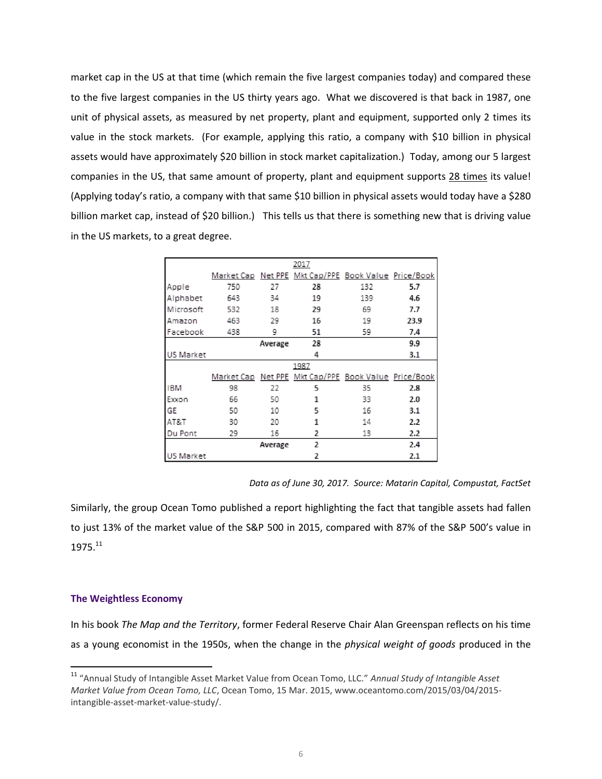market cap in the US at that time (which remain the five largest companies today) and compared these to the five largest companies in the US thirty years ago. What we discovered is that back in 1987, one unit of physical assets, as measured by net property, plant and equipment, supported only 2 times its value in the stock markets. (For example, applying this ratio, a company with \$10 billion in physical assets would have approximately \$20 billion in stock market capitalization.) Today, among our 5 largest companies in the US, that same amount of property, plant and equipment supports 28 times its value! (Applying today's ratio, a company with that same \$10 billion in physical assets would today have a \$280 billion market cap, instead of \$20 billion.) This tells us that there is something new that is driving value in the US markets, to a great degree.

|            |     |         | 2017                                                 |     |      |
|------------|-----|---------|------------------------------------------------------|-----|------|
|            |     |         | Market Cap Net PPE Mkt Cap/PPE Book Value Price/Book |     |      |
| Apple      | 750 | 27      | 28                                                   | 132 | 5.7  |
| Alphabet   | 643 | 34      | 19                                                   | 139 | 4.6  |
| Microsoft  | 532 | 18      | 29                                                   | 69  | 7.7  |
| Amazon     | 463 | 29      | 16                                                   | 19  | 23.9 |
| Facebook   | 438 | 9       | 51                                                   | 59  | 7.4  |
|            |     | Average | 28                                                   |     | 9.9  |
| US Market  |     |         | 4                                                    |     | 3.1  |
| 1987       |     |         |                                                      |     |      |
|            |     |         | Market Cap Net PPE Mkt Cap/PPE Book Value Price/Book |     |      |
| <b>IBM</b> | 98  | 22      | 5                                                    | 35  | 2.8  |
| Exxon      | 66  | 50      | 1                                                    | 33  | 2.0  |
| GE         | 50  | 10      | 5                                                    | 16  | 3.1  |
| AT&T       | 30  | 20      | 1                                                    | 14  | 2.2  |
| Du Pont    | 29  | 16      | 2                                                    | 13  | 2.2  |
|            |     | Average | 2                                                    |     | 2.4  |
| US Market  |     |         | 2                                                    |     | 2.1  |

*Data as of June 30, 2017. Source: Matarin Capital, Compustat, FactSet*

Similarly, the group Ocean Tomo published a report highlighting the fact that tangible assets had fallen to just 13% of the market value of the S&P 500 in 2015, compared with 87% of the S&P 500's value in 1975.11

## **The Weightless Economy**

 $\overline{\phantom{a}}$ 

In his book *The Map and the Territory*, former Federal Reserve Chair Alan Greenspan reflects on his time as a young economist in the 1950s, when the change in the *physical weight of goods* produced in the

<sup>11</sup> "Annual Study of Intangible Asset Market Value from Ocean Tomo, LLC." *Annual Study of Intangible Asset Market Value from Ocean Tomo, LLC*, Ocean Tomo, 15 Mar. 2015, www.oceantomo.com/2015/03/04/2015 intangible-asset-market-value-study/.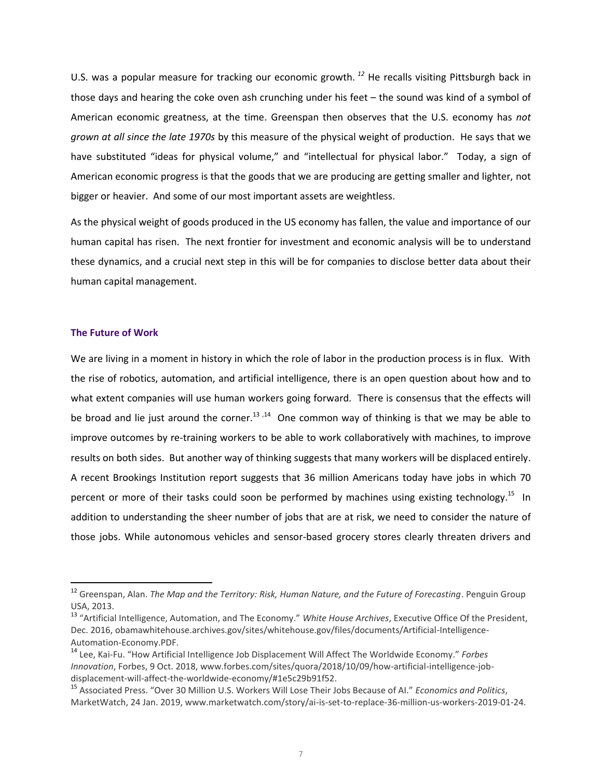U.S. was a popular measure for tracking our economic growth. *<sup>12</sup>* He recalls visiting Pittsburgh back in those days and hearing the coke oven ash crunching under his feet – the sound was kind of a symbol of American economic greatness, at the time. Greenspan then observes that the U.S. economy has *not grown at all since the late 1970s* by this measure of the physical weight of production. He says that we have substituted "ideas for physical volume," and "intellectual for physical labor." Today, a sign of American economic progress is that the goods that we are producing are getting smaller and lighter, not bigger or heavier. And some of our most important assets are weightless.

As the physical weight of goods produced in the US economy has fallen, the value and importance of our human capital has risen. The next frontier for investment and economic analysis will be to understand these dynamics, and a crucial next step in this will be for companies to disclose better data about their human capital management.

#### **The Future of Work**

 $\overline{\phantom{a}}$ 

We are living in a moment in history in which the role of labor in the production process is in flux. With the rise of robotics, automation, and artificial intelligence, there is an open question about how and to what extent companies will use human workers going forward. There is consensus that the effects will be broad and lie just around the corner.<sup>13,14</sup> One common way of thinking is that we may be able to improve outcomes by re-training workers to be able to work collaboratively with machines, to improve results on both sides. But another way of thinking suggests that many workers will be displaced entirely. A recent Brookings Institution report suggests that 36 million Americans today have jobs in which 70 percent or more of their tasks could soon be performed by machines using existing technology.<sup>15</sup> In addition to understanding the sheer number of jobs that are at risk, we need to consider the nature of those jobs. While autonomous vehicles and sensor-based grocery stores clearly threaten drivers and

<sup>12</sup> Greenspan, Alan. *The Map and the Territory: Risk, Human Nature, and the Future of Forecasting*. Penguin Group USA, 2013.

<sup>13</sup> "Artificial Intelligence, Automation, and The Economy." *White House Archives*, Executive Office Of the President, Dec. 2016, obamawhitehouse.archives.gov/sites/whitehouse.gov/files/documents/Artificial-Intelligence-Automation-Economy.PDF.

<sup>14</sup> Lee, Kai-Fu. "How Artificial Intelligence Job Displacement Will Affect The Worldwide Economy." *Forbes Innovation*, Forbes, 9 Oct. 2018, www.forbes.com/sites/quora/2018/10/09/how-artificial-intelligence-jobdisplacement-will-affect-the-worldwide-economy/#1e5c29b91f52.

<sup>15</sup> Associated Press. "Over 30 Million U.S. Workers Will Lose Their Jobs Because of AI." *Economics and Politics*, MarketWatch, 24 Jan. 2019, www.marketwatch.com/story/ai-is-set-to-replace-36-million-us-workers-2019-01-24.